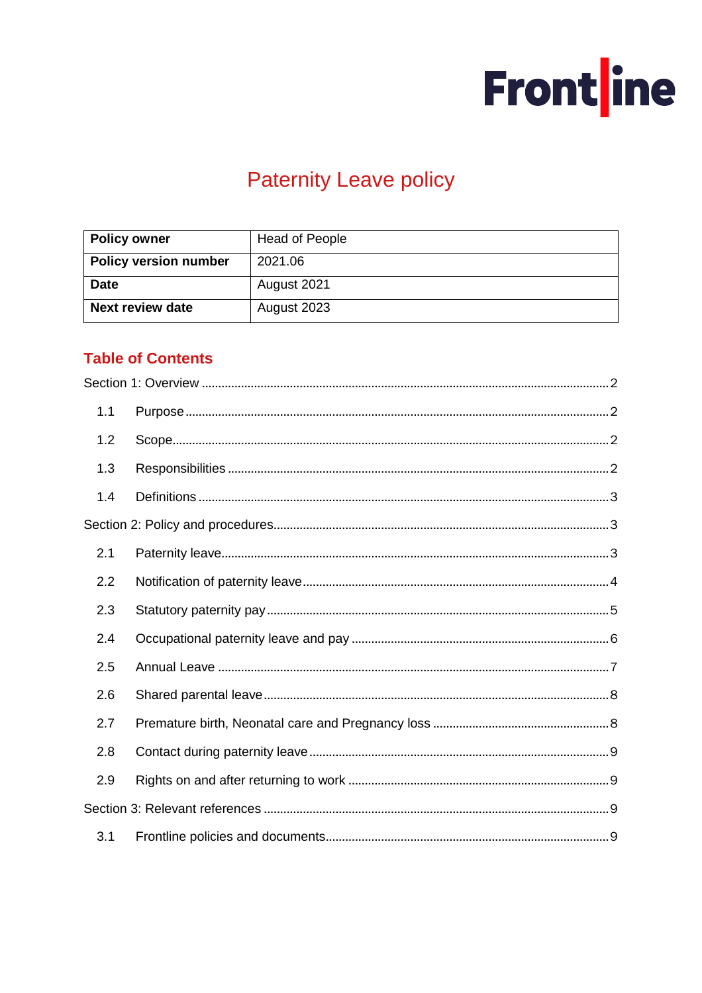

# **Paternity Leave policy**

| <b>Policy owner</b>          | <b>Head of People</b> |  |
|------------------------------|-----------------------|--|
| <b>Policy version number</b> | 2021.06               |  |
| <b>Date</b>                  | August 2021           |  |
| <b>Next review date</b>      | August 2023           |  |

# **Table of Contents**

| 1.1 |  |
|-----|--|
| 1.2 |  |
| 1.3 |  |
| 1.4 |  |
|     |  |
| 2.1 |  |
| 2.2 |  |
| 2.3 |  |
| 2.4 |  |
| 2.5 |  |
| 2.6 |  |
| 2.7 |  |
| 2.8 |  |
| 2.9 |  |
|     |  |
| 3.1 |  |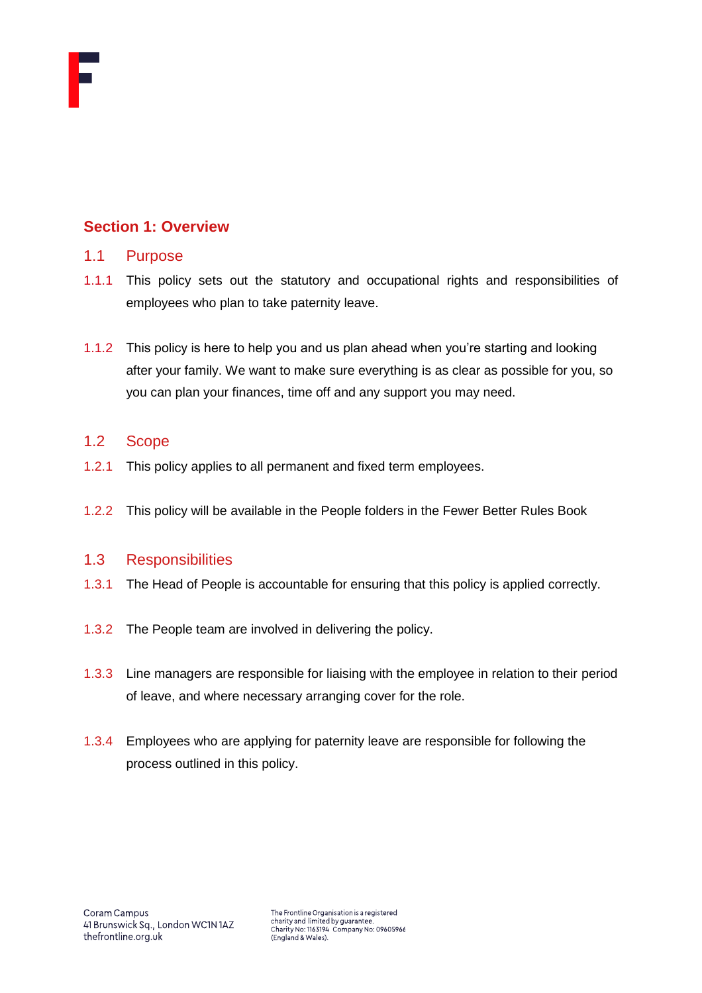

# <span id="page-1-0"></span>**Section 1: Overview**

#### <span id="page-1-1"></span>1.1 Purpose

- 1.1.1 This policy sets out the statutory and occupational rights and responsibilities of employees who plan to take paternity leave.
- 1.1.2 This policy is here to help you and us plan ahead when you're starting and looking after your family. We want to make sure everything is as clear as possible for you, so you can plan your finances, time off and any support you may need.

# <span id="page-1-2"></span>1.2 Scope

- 1.2.1 This policy applies to all permanent and fixed term employees.
- 1.2.2 This policy will be available in the People folders in the Fewer Better Rules Book

# <span id="page-1-3"></span>1.3 Responsibilities

- 1.3.1 The Head of People is accountable for ensuring that this policy is applied correctly.
- 1.3.2 The People team are involved in delivering the policy.
- 1.3.3 Line managers are responsible for liaising with the employee in relation to their period of leave, and where necessary arranging cover for the role.
- 1.3.4 Employees who are applying for paternity leave are responsible for following the process outlined in this policy.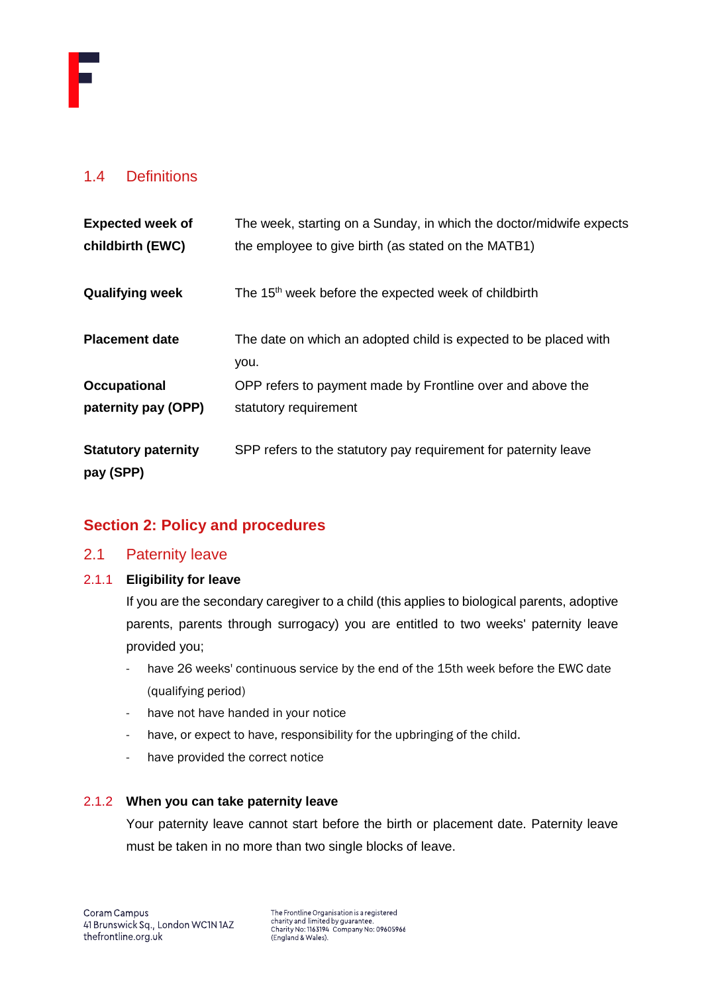# <span id="page-2-0"></span>1.4 Definitions

| <b>Expected week of</b><br>childbirth (EWC) | The week, starting on a Sunday, in which the doctor/midwife expects<br>the employee to give birth (as stated on the MATB1) |
|---------------------------------------------|----------------------------------------------------------------------------------------------------------------------------|
| <b>Qualifying week</b>                      | The 15 <sup>th</sup> week before the expected week of childbirth                                                           |
| <b>Placement date</b>                       | The date on which an adopted child is expected to be placed with<br>you.                                                   |
| <b>Occupational</b>                         | OPP refers to payment made by Frontline over and above the                                                                 |
| paternity pay (OPP)                         | statutory requirement                                                                                                      |
| <b>Statutory paternity</b><br>pay (SPP)     | SPP refers to the statutory pay requirement for paternity leave                                                            |

# <span id="page-2-1"></span>**Section 2: Policy and procedures**

<span id="page-2-2"></span>2.1 Paternity leave

#### 2.1.1 **Eligibility for leave**

If you are the secondary caregiver to a child (this applies to biological parents, adoptive parents, parents through surrogacy) you are entitled to two weeks' paternity leave provided you;

- have 26 weeks' continuous service by the end of the 15th week before the EWC date (qualifying period)
- have not have handed in your notice
- have, or expect to have, responsibility for the upbringing of the child.
- have provided the correct notice

# 2.1.2 **When you can take paternity leave**

Your paternity leave cannot start before the birth or placement date. Paternity leave must be taken in no more than two single blocks of leave.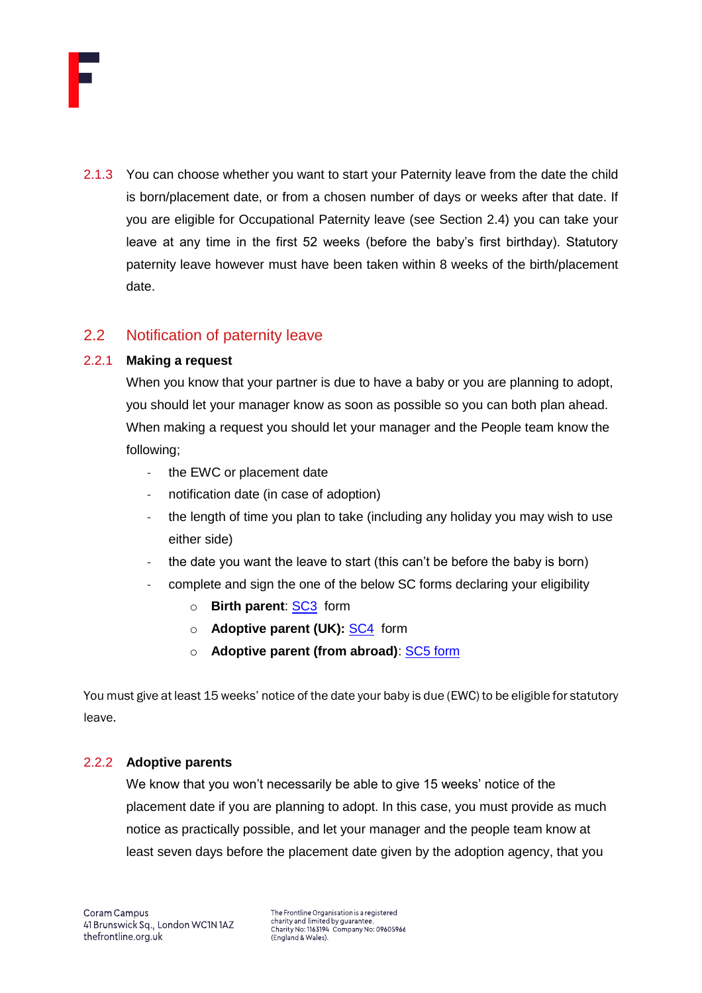

2.1.3 You can choose whether you want to start your Paternity leave from the date the child is born/placement date, or from a chosen number of days or weeks after that date. If you are eligible for Occupational Paternity leave (see Section 2.4) you can take your leave at any time in the first 52 weeks (before the baby's first birthday). Statutory paternity leave however must have been taken within 8 weeks of the birth/placement date.

# <span id="page-3-0"></span>2.2 Notification of paternity leave

#### 2.2.1 **Making a request**

When you know that your partner is due to have a baby or you are planning to adopt, you should let your manager know as soon as possible so you can both plan ahead. When making a request you should let your manager and the People team know the following;

- the EWC or placement date
- notification date (in case of adoption)
- the length of time you plan to take (including any holiday you may wish to use either side)
- the date you want the leave to start (this can't be before the baby is born)
- complete and sign the one of the below SC forms declaring your eligibility
	- o **Birth parent**: [SC3](https://public-online.hmrc.gov.uk/lc/content/xfaforms/profiles/forms.html?contentRoot=repository:///Applications/PersonalTax_iForms/1.0/SC3&template=SC3.xdp) form
	- o **Adoptive parent (UK):** [SC4](https://assets.publishing.service.gov.uk/government/uploads/system/uploads/attachment_data/file/675766/SC4_01_18_v1.0.pdf) form
	- o **Adoptive parent (from abroad)**: [SC5](https://public-online.hmrc.gov.uk/lc/content/xfaforms/profiles/forms.html?contentRoot=repository:///Applications/PersonalTax_iForms/1.0/SC5_20156&template=SC5.xdp) form

You must give at least 15 weeks' notice of the date your baby is due (EWC) to be eligible for statutory leave.

# 2.2.2 **Adoptive parents**

We know that you won't necessarily be able to give 15 weeks' notice of the placement date if you are planning to adopt. In this case, you must provide as much notice as practically possible, and let your manager and the people team know at least seven days before the placement date given by the adoption agency, that you

The Frontline Organisation is a registered charity and limited by guarantee Charity No: 1163194 Company No: 09605966<br>(England & Wales).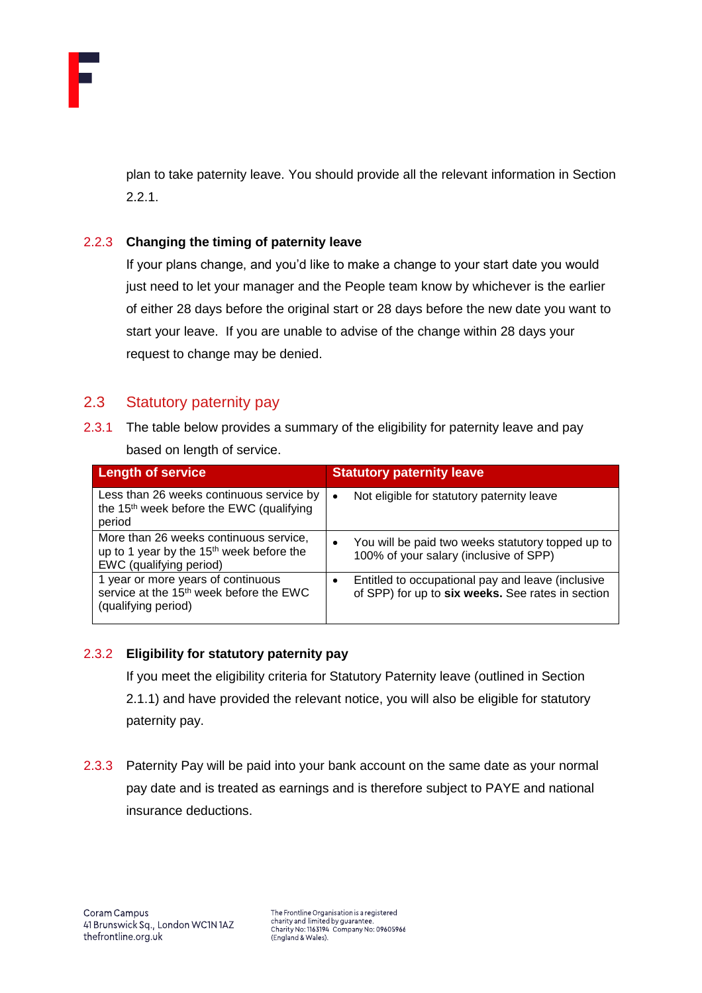

plan to take paternity leave. You should provide all the relevant information in Section 2.2.1.

# 2.2.3 **Changing the timing of paternity leave**

If your plans change, and you'd like to make a change to your start date you would just need to let your manager and the People team know by whichever is the earlier of either 28 days before the original start or 28 days before the new date you want to start your leave. If you are unable to advise of the change within 28 days your request to change may be denied.

# <span id="page-4-0"></span>2.3 Statutory paternity pay

2.3.1 The table below provides a summary of the eligibility for paternity leave and pay based on length of service.

| <b>Length of service</b>                                                                                                  | <b>Statutory paternity leave</b>                                                                         |
|---------------------------------------------------------------------------------------------------------------------------|----------------------------------------------------------------------------------------------------------|
| Less than 26 weeks continuous service by<br>the 15 <sup>th</sup> week before the EWC (qualifying<br>period                | Not eligible for statutory paternity leave<br>$\bullet$                                                  |
| More than 26 weeks continuous service,<br>up to 1 year by the 15 <sup>th</sup> week before the<br>EWC (qualifying period) | You will be paid two weeks statutory topped up to<br>$\bullet$<br>100% of your salary (inclusive of SPP) |
| 1 year or more years of continuous<br>service at the 15 <sup>th</sup> week before the EWC<br>(qualifying period)          | Entitled to occupational pay and leave (inclusive<br>of SPP) for up to six weeks. See rates in section   |

# 2.3.2 **Eligibility for statutory paternity pay**

If you meet the eligibility criteria for Statutory Paternity leave (outlined in Section 2.1.1) and have provided the relevant notice, you will also be eligible for statutory paternity pay.

2.3.3 Paternity Pay will be paid into your bank account on the same date as your normal pay date and is treated as earnings and is therefore subject to PAYE and national insurance deductions.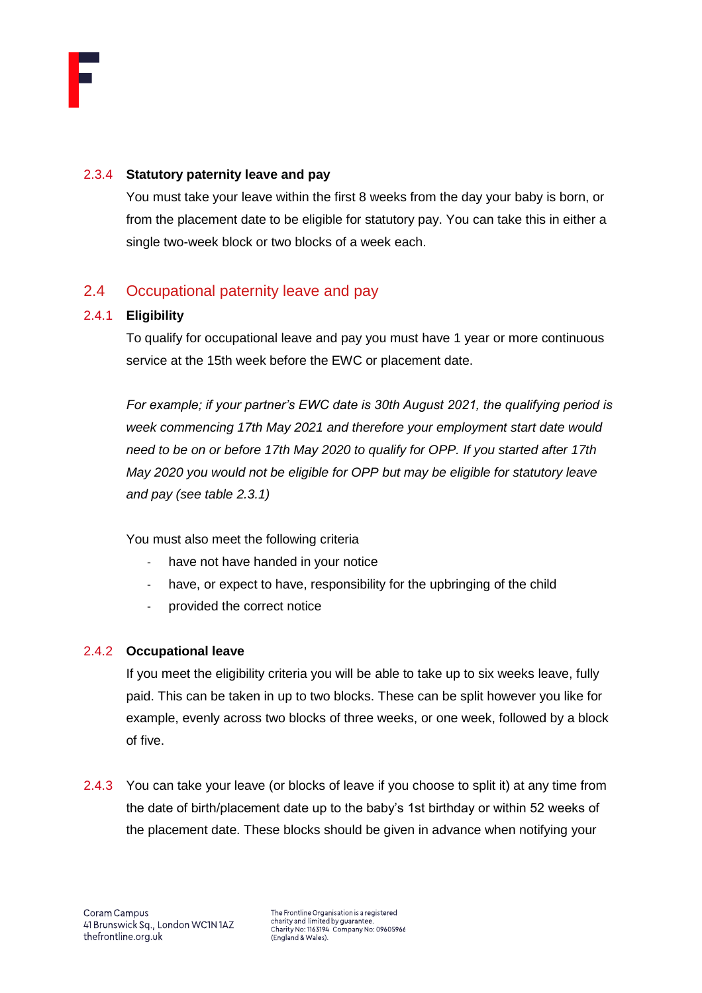

#### 2.3.4 **Statutory paternity leave and pay**

You must take your leave within the first 8 weeks from the day your baby is born, or from the placement date to be eligible for statutory pay. You can take this in either a single two-week block or two blocks of a week each.

# <span id="page-5-0"></span>2.4 Occupational paternity leave and pay

#### 2.4.1 **Eligibility**

To qualify for occupational leave and pay you must have 1 year or more continuous service at the 15th week before the EWC or placement date.

*For example; if your partner's EWC date is 30th August 2021, the qualifying period is week commencing 17th May 2021 and therefore your employment start date would need to be on or before 17th May 2020 to qualify for OPP. If you started after 17th May 2020 you would not be eligible for OPP but may be eligible for statutory leave and pay (see table 2.3.1)*

You must also meet the following criteria

- have not have handed in your notice
- have, or expect to have, responsibility for the upbringing of the child
- provided the correct notice

#### 2.4.2 **Occupational leave**

If you meet the eligibility criteria you will be able to take up to six weeks leave, fully paid. This can be taken in up to two blocks. These can be split however you like for example, evenly across two blocks of three weeks, or one week, followed by a block of five.

2.4.3 You can take your leave (or blocks of leave if you choose to split it) at any time from the date of birth/placement date up to the baby's 1st birthday or within 52 weeks of the placement date. These blocks should be given in advance when notifying your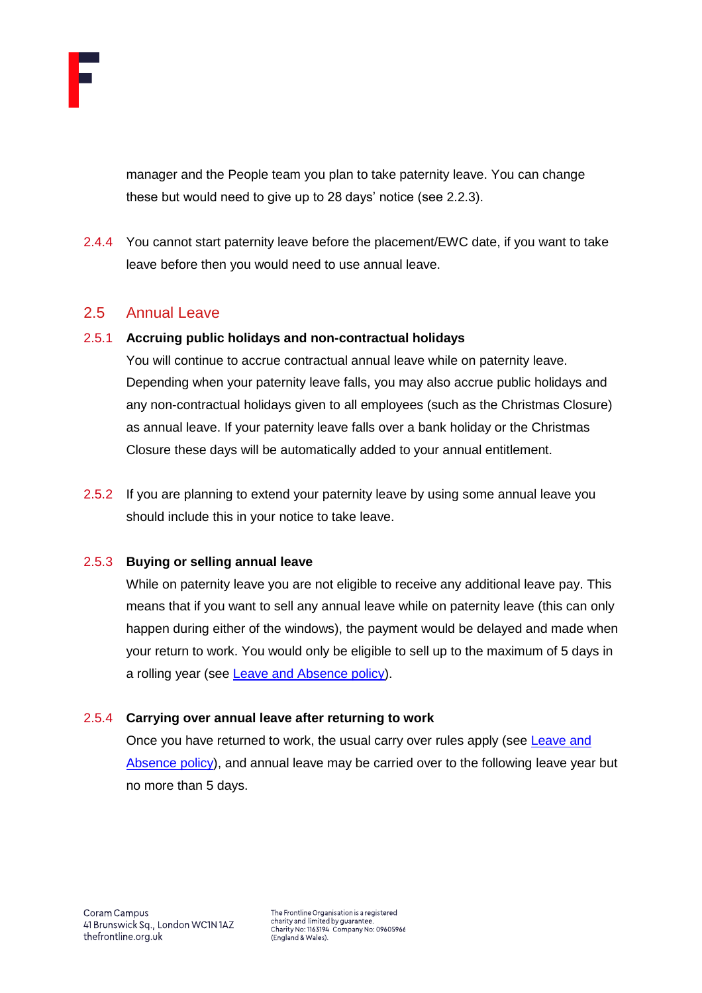

manager and the People team you plan to take paternity leave. You can change these but would need to give up to 28 days' notice (see 2.2.3).

2.4.4 You cannot start paternity leave before the placement/EWC date, if you want to take leave before then you would need to use annual leave.

# <span id="page-6-0"></span>2.5 Annual Leave

# 2.5.1 **Accruing public holidays and non-contractual holidays**

You will continue to accrue contractual annual leave while on paternity leave. Depending when your paternity leave falls, you may also accrue public holidays and any non-contractual holidays given to all employees (such as the Christmas Closure) as annual leave. If your paternity leave falls over a bank holiday or the Christmas Closure these days will be automatically added to your annual entitlement.

2.5.2 If you are planning to extend your paternity leave by using some annual leave you should include this in your notice to take leave.

# 2.5.3 **Buying or selling annual leave**

While on paternity leave you are not eligible to receive any additional leave pay. This means that if you want to sell any annual leave while on paternity leave (this can only happen during either of the windows), the payment would be delayed and made when your return to work. You would only be eligible to sell up to the maximum of 5 days in a rolling year (see [Leave and Absence policy\)](https://thefrontline.sharepoint.com/sites/FBRB/Shared%20Documents/Operations/People/General/Leave%20and%20Absence%20Policy%20-%202021.04.pdf).

# 2.5.4 **Carrying over annual leave after returning to work**

Once you have returned to work, the usual carry over rules apply (see Leave and [Absence policy\)](https://thefrontline.sharepoint.com/sites/FBRB/Shared%20Documents/Operations/People/General/Leave%20and%20Absence%20Policy%20-%202021.04.pdf), and annual leave may be carried over to the following leave year but no more than 5 days.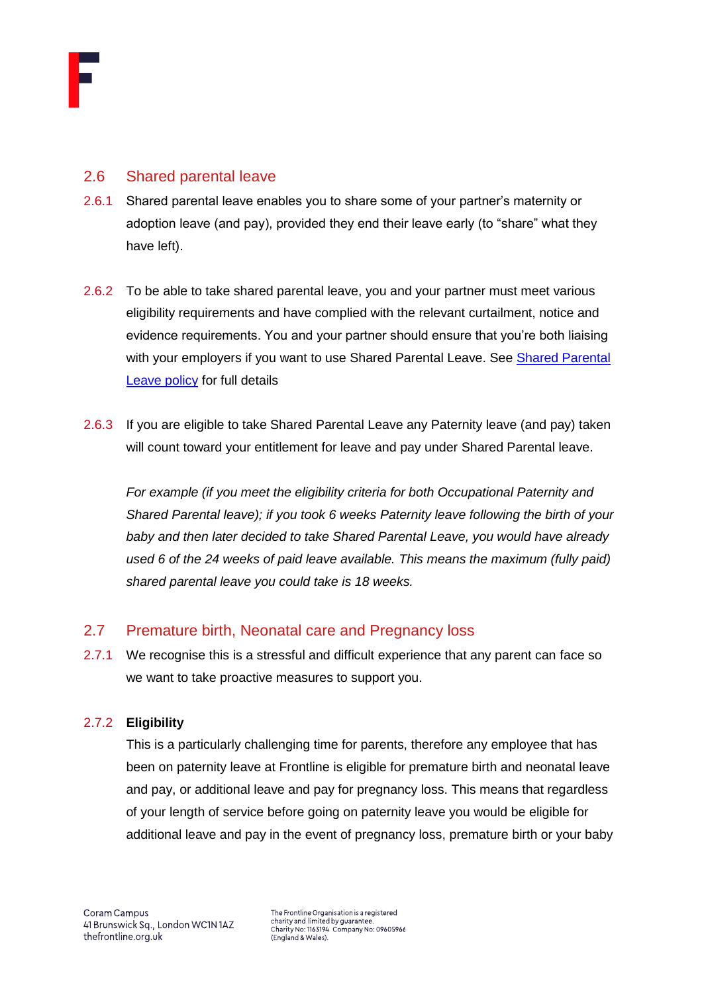

# <span id="page-7-0"></span>2.6 Shared parental leave

- 2.6.1 Shared parental leave enables you to share some of your partner's maternity or adoption leave (and pay), provided they end their leave early (to "share" what they have left).
- 2.6.2 To be able to take shared parental leave, you and your partner must meet various eligibility requirements and have complied with the relevant curtailment, notice and evidence requirements. You and your partner should ensure that you're both liaising with your employers if you want to use Shared Parental Leave. See [Shared Parental](https://thefrontline.sharepoint.com/sites/FBRB/Shared%20Documents/Forms/FBRB%20View.aspx?viewid=16291952%2D50ea%2D4f4d%2Dad56%2D955c10f8539d&id=%2Fsites%2FFBRB%2FShared%20Documents%2FOperations%2FPeople%2FFamily)  [Leave policy](https://thefrontline.sharepoint.com/sites/FBRB/Shared%20Documents/Forms/FBRB%20View.aspx?viewid=16291952%2D50ea%2D4f4d%2Dad56%2D955c10f8539d&id=%2Fsites%2FFBRB%2FShared%20Documents%2FOperations%2FPeople%2FFamily) for full details
- 2.6.3 If you are eligible to take Shared Parental Leave any Paternity leave (and pay) taken will count toward your entitlement for leave and pay under Shared Parental leave.

*For example (if you meet the eligibility criteria for both Occupational Paternity and Shared Parental leave); if you took 6 weeks Paternity leave following the birth of your baby and then later decided to take Shared Parental Leave, you would have already*  used 6 of the 24 weeks of paid leave available. This means the maximum (fully paid) *shared parental leave you could take is 18 weeks.*

# <span id="page-7-1"></span>2.7 Premature birth, Neonatal care and Pregnancy loss

2.7.1 We recognise this is a stressful and difficult experience that any parent can face so we want to take proactive measures to support you.

# 2.7.2 **Eligibility**

This is a particularly challenging time for parents, therefore any employee that has been on paternity leave at Frontline is eligible for premature birth and neonatal leave and pay, or additional leave and pay for pregnancy loss. This means that regardless of your length of service before going on paternity leave you would be eligible for additional leave and pay in the event of pregnancy loss, premature birth or your baby

The Frontline Organisation is a registered charity and limited by guarantee. Charity No: 1163194 Company No: 09605966<br>(England & Wales).